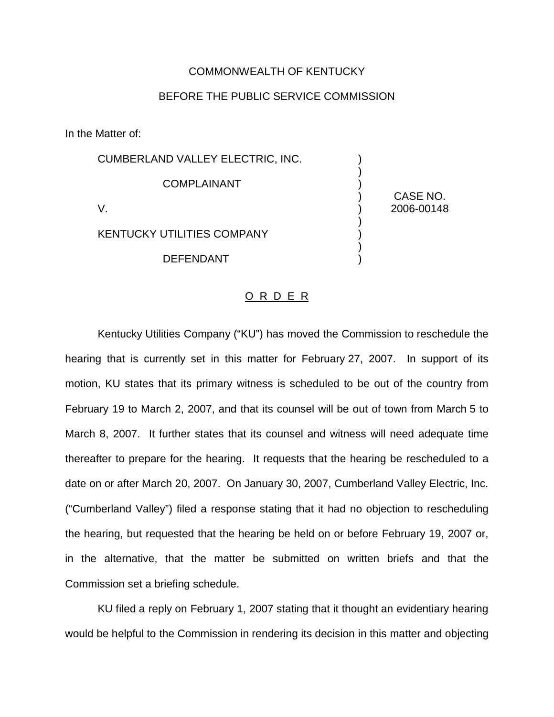## COMMONWEALTH OF KENTUCKY

## BEFORE THE PUBLIC SERVICE COMMISSION

In the Matter of:

| <b>CUMBERLAND VALLEY ELECTRIC, INC.</b> |            |
|-----------------------------------------|------------|
| <b>COMPLAINANT</b>                      | CASE NO.   |
| V.                                      | 2006-00148 |
| <b>KENTUCKY UTILITIES COMPANY</b>       |            |
| <b>DEFENDANT</b>                        |            |
|                                         |            |

## O R D E R

Kentucky Utilities Company ("KU") has moved the Commission to reschedule the hearing that is currently set in this matter for February 27, 2007. In support of its motion, KU states that its primary witness is scheduled to be out of the country from February 19 to March 2, 2007, and that its counsel will be out of town from March 5 to March 8, 2007. It further states that its counsel and witness will need adequate time thereafter to prepare for the hearing. It requests that the hearing be rescheduled to a date on or after March 20, 2007. On January 30, 2007, Cumberland Valley Electric, Inc. ("Cumberland Valley") filed a response stating that it had no objection to rescheduling the hearing, but requested that the hearing be held on or before February 19, 2007 or, in the alternative, that the matter be submitted on written briefs and that the Commission set a briefing schedule.

KU filed a reply on February 1, 2007 stating that it thought an evidentiary hearing would be helpful to the Commission in rendering its decision in this matter and objecting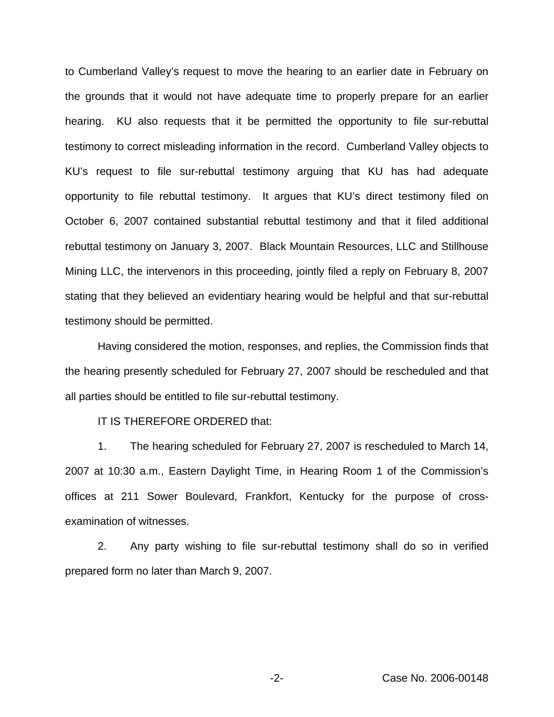to Cumberland Valley's request to move the hearing to an earlier date in February on the grounds that it would not have adequate time to properly prepare for an earlier hearing. KU also requests that it be permitted the opportunity to file sur-rebuttal testimony to correct misleading information in the record. Cumberland Valley objects to KU's request to file sur-rebuttal testimony arguing that KU has had adequate opportunity to file rebuttal testimony. It argues that KU's direct testimony filed on October 6, 2007 contained substantial rebuttal testimony and that it filed additional rebuttal testimony on January 3, 2007. Black Mountain Resources, LLC and Stillhouse Mining LLC, the intervenors in this proceeding, jointly filed a reply on February 8, 2007 stating that they believed an evidentiary hearing would be helpful and that sur-rebuttal testimony should be permitted.

Having considered the motion, responses, and replies, the Commission finds that the hearing presently scheduled for February 27, 2007 should be rescheduled and that all parties should be entitled to file sur-rebuttal testimony.

IT IS THEREFORE ORDERED that:

1. The hearing scheduled for February 27, 2007 is rescheduled to March 14, 2007 at 10:30 a.m., Eastern Daylight Time, in Hearing Room 1 of the Commission's offices at 211 Sower Boulevard, Frankfort, Kentucky for the purpose of crossexamination of witnesses.

2. Any party wishing to file sur-rebuttal testimony shall do so in verified prepared form no later than March 9, 2007.